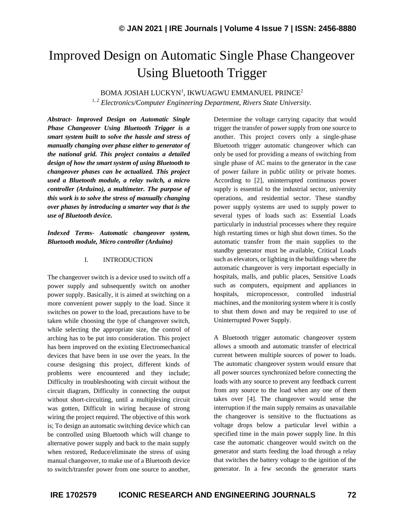# Improved Design on Automatic Single Phase Changeover Using Bluetooth Trigger

 $\rm BOMA$  JOSIAH LUCKYN $^1$ , IKWUAGWU EMMANUEL PRINCE $^2$ 

*1, 2 Electronics/Computer Engineering Department, Rivers State University.*

*Abstract- Improved Design on Automatic Single Phase Changeover Using Bluetooth Trigger is a smart system built to solve the hassle and stress of manually changing over phase either to generator of the national grid. This project contains a detailed design of how the smart system of using Bluetooth to changeover phases can be actualized. This project used a Bluetooth module, a relay switch, a micro controller (Arduino), a multimeter. The purpose of this work is to solve the stress of manually changing over phases by introducing a smarter way that is the use of Bluetooth device.*

*Indexed Terms- Automatic changeover system, Bluetooth module, Micro controller (Arduino)*

## I. INTRODUCTION

The changeover switch is a device used to switch off a power supply and subsequently switch on another power supply. Basically, it is aimed at switching on a more convenient power supply to the load. Since it switches on power to the load, precautions have to be taken while choosing the type of changeover switch, while selecting the appropriate size, the control of arching has to be put into consideration. This project has been improved on the existing Electromechanical devices that have been in use over the years. In the course designing this project, different kinds of problems were encountered and they include; Difficulty in troubleshooting with circuit without the circuit diagram, Difficulty in connecting the output without short-circuiting, until a multiplexing circuit was gotten, Difficult in wiring because of strong wiring the project required. The objective of this work is; To design an automatic switching device which can be controlled using Bluetooth which will change to alternative power supply and back to the main supply when restored, Reduce/eliminate the stress of using manual changeover, to make use of a Bluetooth device to switch/transfer power from one source to another, Determine the voltage carrying capacity that would trigger the transfer of power supply from one source to another. This project covers only a single-phase Bluetooth trigger automatic changeover which can only be used for providing a means of switching from single phase of AC mains to the generator in the case of power failure in public utility or private homes. According to [2], uninterrupted continuous power supply is essential to the industrial sector, university operations, and residential sector. These standby power supply systems are used to supply power to several types of loads such as: Essential Loads particularly in industrial processes where they require high restarting times or high shut down times. So the automatic transfer from the main supplies to the standby generator must be available, Critical Loads such as elevators, or lighting in the buildings where the automatic changeover is very important especially in hospitals, malls, and public places, Sensitive Loads such as computers, equipment and appliances in hospitals, microprocessor, controlled industrial machines, and the monitoring system where it is costly to shut them down and may be required to use of Uninterrupted Power Supply.

A Bluetooth trigger automatic changeover system allows a smooth and automatic transfer of electrical current between multiple sources of power to loads. The automatic changeover system would ensure that all power sources synchronized before connecting the loads with any source to prevent any feedback current from any source to the load when any one of them takes over [4]. The changeover would sense the interruption if the main supply remains as unavailable the changeover is sensitive to the fluctuations as voltage drops below a particular level within a specified time in the main power supply line. In this case the automatic changeover would switch on the generator and starts feeding the load through a relay that switches the battery voltage to the ignition of the generator. In a few seconds the generator starts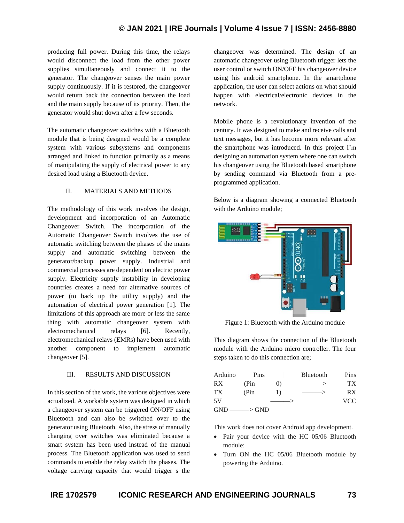## **© JAN 2021 | IRE Journals | Volume 4 Issue 7 | ISSN: 2456-8880**

producing full power. During this time, the relays would disconnect the load from the other power supplies simultaneously and connect it to the generator. The changeover senses the main power supply continuously. If it is restored, the changeover would return back the connection between the load and the main supply because of its priority. Then, the generator would shut down after a few seconds.

The automatic changeover switches with a Bluetooth module that is being designed would be a complete system with various subsystems and components arranged and linked to function primarily as a means of manipulating the supply of electrical power to any desired load using a Bluetooth device.

## II. MATERIALS AND METHODS

The methodology of this work involves the design, development and incorporation of an Automatic Changeover Switch. The incorporation of the Automatic Changeover Switch involves the use of automatic switching between the phases of the mains supply and automatic switching between the generator/backup power supply. Industrial and commercial processes are dependent on electric power supply. Electricity supply instability in developing countries creates a need for alternative sources of power (to back up the utility supply) and the automation of electrical power generation [1]. The limitations of this approach are more or less the same thing with automatic changeover system with electromechanical relays [6]. Recently, electromechanical relays (EMRs) have been used with another component to implement automatic changeover [5].

## III. RESULTS AND DISCUSSION

In this section of the work, the various objectives were actualized. A workable system was designed in which a changeover system can be triggered ON/OFF using Bluetooth and can also be switched over to the generator using Bluetooth. Also, the stress of manually changing over switches was eliminated because a smart system has been used instead of the manual process. The Bluetooth application was used to send commands to enable the relay switch the phases. The voltage carrying capacity that would trigger s the

changeover was determined. The design of an automatic changeover using Bluetooth trigger lets the user control or switch ON/OFF his changeover device using his android smartphone. In the smartphone application, the user can select actions on what should happen with electrical/electronic devices in the network.

Mobile phone is a revolutionary invention of the century. It was designed to make and receive calls and text messages, but it has become more relevant after the smartphone was introduced. In this project I'm designing an automation system where one can switch his changeover using the Bluetooth based smartphone by sending command via Bluetooth from a preprogrammed application.

Below is a diagram showing a connected Bluetooth with the Arduino module;



Figure 1: Bluetooth with the Arduino module

This diagram shows the connection of the Bluetooth module with the Arduino micro controller. The four steps taken to do this connection are;

| Arduino                   | Pins  |          | <b>Bluetooth</b> | Pins |
|---------------------------|-------|----------|------------------|------|
| <b>RX</b>                 | (Pin  | $\Omega$ |                  | TX.  |
| <b>TX</b>                 | (Pin) | $\Box$   |                  | RX.  |
| .5V                       |       |          |                  | VCC. |
| $GND \longrightarrow GND$ |       |          |                  |      |

This work does not cover Android app development.

- Pair your device with the HC 05/06 Bluetooth module:
- Turn ON the HC 05/06 Bluetooth module by powering the Arduino.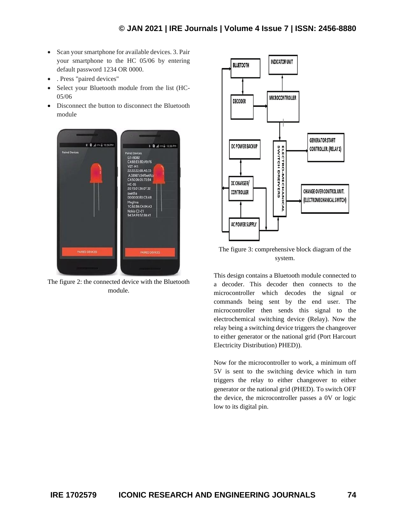- Scan your smartphone for available devices. 3. Pair your smartphone to the HC 05/06 by entering default password 1234 OR 0000.
- . Press "paired devices"
- Select your Bluetooth module from the list (HC-05/06
- Disconnect the button to disconnect the Bluetooth module



The figure 2: the connected device with the Bluetooth module.



The figure 3: comprehensive block diagram of the system.

This design contains a Bluetooth module connected to a decoder. This decoder then connects to the microcontroller which decodes the signal or commands being sent by the end user. The microcontroller then sends this signal to the electrochemical switching device (Relay). Now the relay being a switching device triggers the changeover to either generator or the national grid (Port Harcourt Electricity Distribution) PHED)).

Now for the microcontroller to work, a minimum off 5V is sent to the switching device which in turn triggers the relay to either changeover to either generator or the national grid (PHED). To switch OFF the device, the microcontroller passes a 0V or logic low to its digital pin.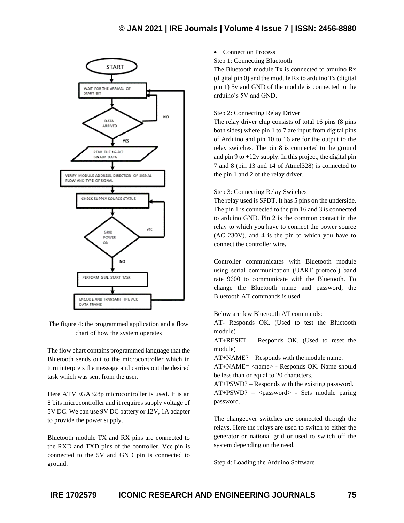## **© JAN 2021 | IRE Journals | Volume 4 Issue 7 | ISSN: 2456-8880**



The figure 4: the programmed application and a flow chart of how the system operates

The flow chart contains programmed language that the Bluetooth sends out to the microcontroller which in turn interprets the message and carries out the desired task which was sent from the user.

Here ATMEGA328p microcontroller is used. It is an 8 bits microcontroller and it requires supply voltage of 5V DC. We can use 9V DC battery or 12V, 1A adapter to provide the power supply.

Bluetooth module TX and RX pins are connected to the RXD and TXD pins of the controller. Vcc pin is connected to the 5V and GND pin is connected to ground.

• Connection Process

Step 1: Connecting Bluetooth

The Bluetooth module Tx is connected to arduino Rx (digital pin 0) and the module Rx to arduino Tx (digital pin 1) 5v and GND of the module is connected to the arduino's 5V and GND.

#### Step 2: Connecting Relay Driver

The relay driver chip consists of total 16 pins (8 pins both sides) where pin 1 to 7 are input from digital pins of Arduino and pin 10 to 16 are for the output to the relay switches. The pin 8 is connected to the ground and pin 9 to  $+12v$  supply. In this project, the digital pin 7 and 8 (pin 13 and 14 of Atmel328) is connected to the pin 1 and 2 of the relay driver.

## Step 3: Connecting Relay Switches

The relay used is SPDT. It has 5 pins on the underside. The pin 1 is connected to the pin 16 and 3 is connected to arduino GND. Pin 2 is the common contact in the relay to which you have to connect the power source (AC 230V), and 4 is the pin to which you have to connect the controller wire.

Controller communicates with Bluetooth module using serial communication (UART protocol) band rate 9600 to communicate with the Bluetooth. To change the Bluetooth name and password, the Bluetooth AT commands is used.

Below are few Bluetooth AT commands:

AT- Responds OK. (Used to test the Bluetooth module)

AT+RESET – Responds OK. (Used to reset the module)

AT+NAME? – Responds with the module name.

AT+NAME= <name> - Responds OK. Name should be less than or equal to 20 characters.

AT+PSWD? – Responds with the existing password.  $AT+PSWD? = password> - Sets

 module pairing$ password.

The changeover switches are connected through the relays. Here the relays are used to switch to either the generator or national grid or used to switch off the system depending on the need.

Step 4: Loading the Arduino Software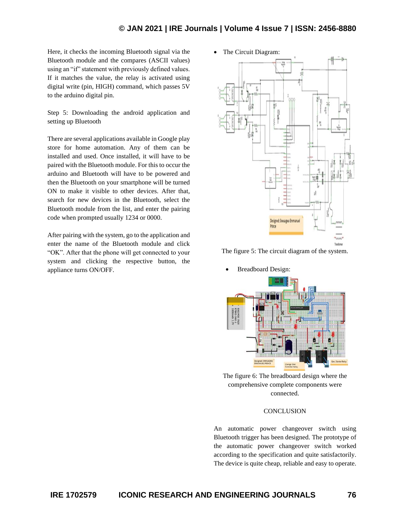• The Circuit Diagram:

Here, it checks the incoming Bluetooth signal via the Bluetooth module and the compares (ASCII values) using an "if" statement with previously defined values. If it matches the value, the relay is activated using digital write (pin, HIGH) command, which passes 5V to the arduino digital pin.

Step 5: Downloading the android application and setting up Bluetooth

There are several applications available in Google play store for home automation. Any of them can be installed and used. Once installed, it will have to be paired with the Bluetooth module. For this to occur the arduino and Bluetooth will have to be powered and then the Bluetooth on your smartphone will be turned ON to make it visible to other devices. After that, search for new devices in the Bluetooth, select the Bluetooth module from the list, and enter the pairing code when prompted usually 1234 or 0000.

After pairing with the system, go to the application and enter the name of the Bluetooth module and click "OK". After that the phone will get connected to your system and clicking the respective button, the appliance turns ON/OFF.



The figure 5: The circuit diagram of the system.



The figure 6: The breadboard design where the comprehensive complete components were connected.

## **CONCLUSION**

An automatic power changeover switch using Bluetooth trigger has been designed. The prototype of the automatic power changeover switch worked according to the specification and quite satisfactorily. The device is quite cheap, reliable and easy to operate.